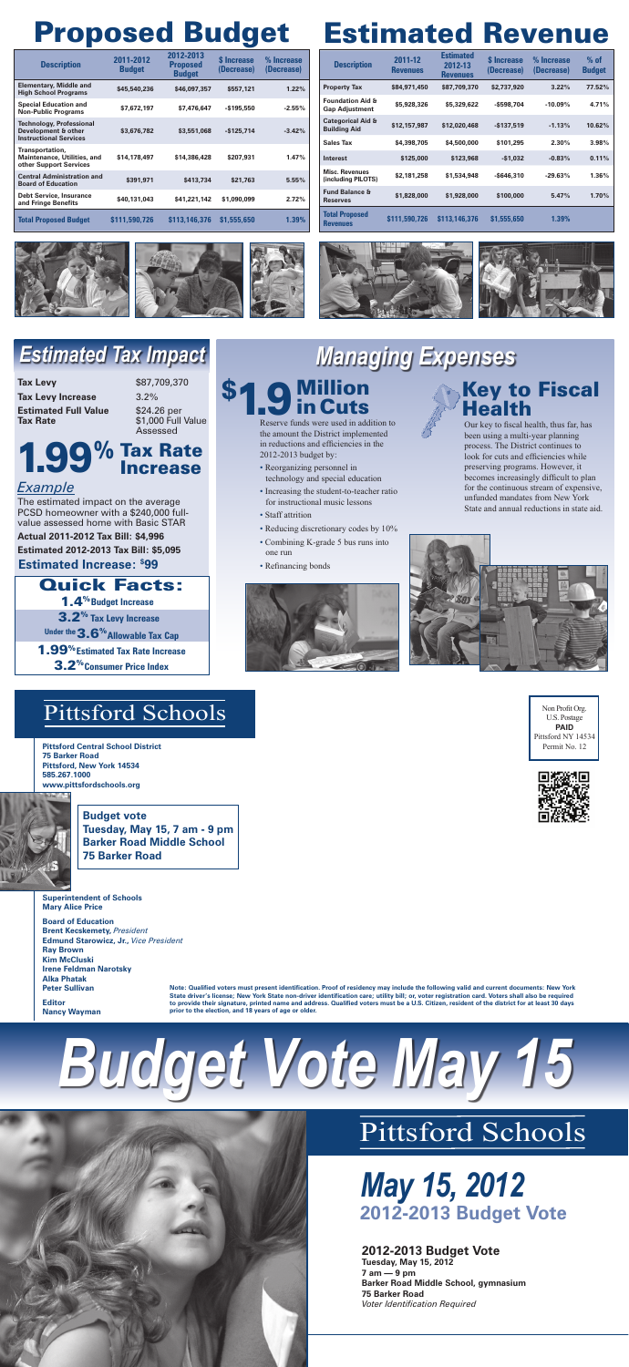U.S. Postage **PAID** Pittsford NY 14534 Permit No. 12



# Pittsford Schools

**Pittsford Central School District 75 Barker Road Pittsford, New York 14534 585.267.1000 www.pittsfordschools.org**



**Budget vote Tuesday, May 15, 7 am - 9 pm Barker Road Middle School 75 Barker Road**



*May 15, 2012* **2012-2013 Budget Vote**

#### **2012-2013 Budget Vote**

**Tuesday, May 15, 2012 7 am — 9 pm Barker Road Middle School, gymnasium 75 Barker Road** *Voter Identification Required*

**Note: Qualified voters must present identification. Proof of residency may include the following valid and current documents: New York State driver's license; New York State non-driver identification care; utility bill; or, voter registration card. Voters shall also be required to provide their signature, printed name and address. Qualified voters must be a U.S. Citizen, resident of the district for at least 30 days prior to the election, and 18 years of age or older.**

| <b>Description</b>                                   | 2011-12<br><b>Revenues</b> | <b>Estimated</b><br>2012-13<br><b>Revenues</b> | <b>S</b> Increase<br>(Decrease) | % Increase<br>(Decrease) | $%$ of<br><b>Budget</b> |
|------------------------------------------------------|----------------------------|------------------------------------------------|---------------------------------|--------------------------|-------------------------|
| <b>Property Tax</b>                                  | \$84,971,450               | \$87,709,370                                   | \$2,737,920                     | 3.22%                    | 77.52%                  |
| <b>Foundation Aid &amp;</b><br><b>Gap Adjustment</b> | \$5,928,326                | \$5,329,622                                    | -\$598,704                      | $-10.09\%$               | 4.71%                   |
| <b>Categorical Aid &amp;</b><br><b>Building Aid</b>  | \$12,157,987               | \$12,020,468                                   | $-$137,519$                     | $-1.13%$                 | 10.62%                  |
| <b>Sales Tax</b>                                     | \$4,398,705                | \$4,500,000                                    | \$101,295                       | 2.30%                    | 3.98%                   |
| Interest                                             | \$125,000                  | \$123,968                                      | $-$1,032$                       | $-0.83%$                 | 0.11%                   |
| <b>Misc. Revenues</b><br>(including PILOTS)          | \$2,181,258                | \$1,534,948                                    | $-$ \$646,310                   | $-29.63%$                | 1.36%                   |
| <b>Fund Balance &amp;</b><br><b>Reserves</b>         | \$1,828,000                | \$1,928,000                                    | \$100,000                       | 5.47%                    | 1.70%                   |
| <b>Total Proposed</b><br><b>Revenues</b>             | \$111,590,726              | \$113,146,376                                  | \$1,555,650                     | $1.39\%$                 |                         |









**Tax Levy** \$87,709,370 **Tax Levy Increase** 3.2% **Estimated Full Value** \$24.26 per **Tax Rate \$1,000 Full Value** 

# Estimated Revenue Proposed Budget

## Million **\$1.9** Million<br>**in Cuts**

## Key to Fiscal **Health**

- **1.4<sup>%</sup> Budget Increase**
- 3.2% **Tax Levy Increase**

Under the **3.6<sup>%</sup> Allowable Tax Cap** 

| <b>Description</b>                                                                      | 2011-2012<br><b>Budget</b> | 2012-2013<br><b>Proposed</b><br><b>Budget</b> | <b>S</b> Increase<br>(Decrease) | % Increase<br>(Decrease) |
|-----------------------------------------------------------------------------------------|----------------------------|-----------------------------------------------|---------------------------------|--------------------------|
| <b>Elementary, Middle and</b><br><b>High School Programs</b>                            | \$45,540,236               | \$46,097,357                                  | \$557,121                       | 1.22%                    |
| <b>Special Education and</b><br><b>Non-Public Programs</b>                              | \$7,672,197                | \$7,476,647                                   | $-$ \$195,550                   | $-2.55%$                 |
| <b>Technology, Professional</b><br>Development & other<br><b>Instructional Services</b> | \$3,676,782                | \$3,551,068                                   | $-$ \$125,714                   | $-3.42%$                 |
| Transportation,<br><b>Maintenance, Utilities, and</b><br>other Support Services         | \$14,178,497               | \$14,386,428                                  | \$207,931                       | 1.47%                    |
| <b>Central Administration and</b><br><b>Board of Education</b>                          | \$391,971                  | \$413,734                                     | \$21,763                        | 5.55%                    |
| <b>Debt Service, Insurance</b><br>and Fringe Benefits                                   | \$40,131,043               | \$41,221,142                                  | \$1,090,099                     | 2.72%                    |
| <b>Total Proposed Budget</b>                                                            | \$111,590,726              | \$113,146,376                                 | \$1,555,650                     | 1.39%                    |



**Superintendent of Schools Mary Alice Price**

**Board of Education Brent Kecskemety,** *President* **Edmund Starowicz, Jr.,** *Vice President* **Ray Brown Kim McCluski Irene Feldman Narotsky Alka Phatak Peter Sullivan**

**Editor Nancy Wayman**

# *Estimated Tax Impact Managing Expenses*

Reserve funds were used in addition to the amount the District implemented in reductions and efficiencies in the 2012-2013 budget by:

- Reorganizing personnel in technology and special education
- Increasing the student-to-teacher ratio for instructional music lessons
- Staff attrition
- Reducing discretionary codes by 10%
- Combining K-grade 5 bus runs into one run
- Refinancing bonds



Our key to fiscal health, thus far, has been using a multi-year planning process. The District continues to look for cuts and efficiencies while preserving programs. However, it becomes increasingly difficult to plan for the continuous stream of expensive, unfunded mandates from New York State and annual reductions in state aid.



Assessed

#### *Example*

The estimated impact on the average PCSD homeowner with a \$240,000 fullvalue assessed home with Basic STAR

**Actual 2011-2012 Tax Bill: \$4,996**

**Estimated 2012-2013 Tax Bill: \$5,095**

**Estimated Increase: \$ 99**

# 1.99% Tax Rate Increase

1.99 **Estimated Tax Rate Increase** %

3.2 **Consumer Price Index** %

### Quick Facts: